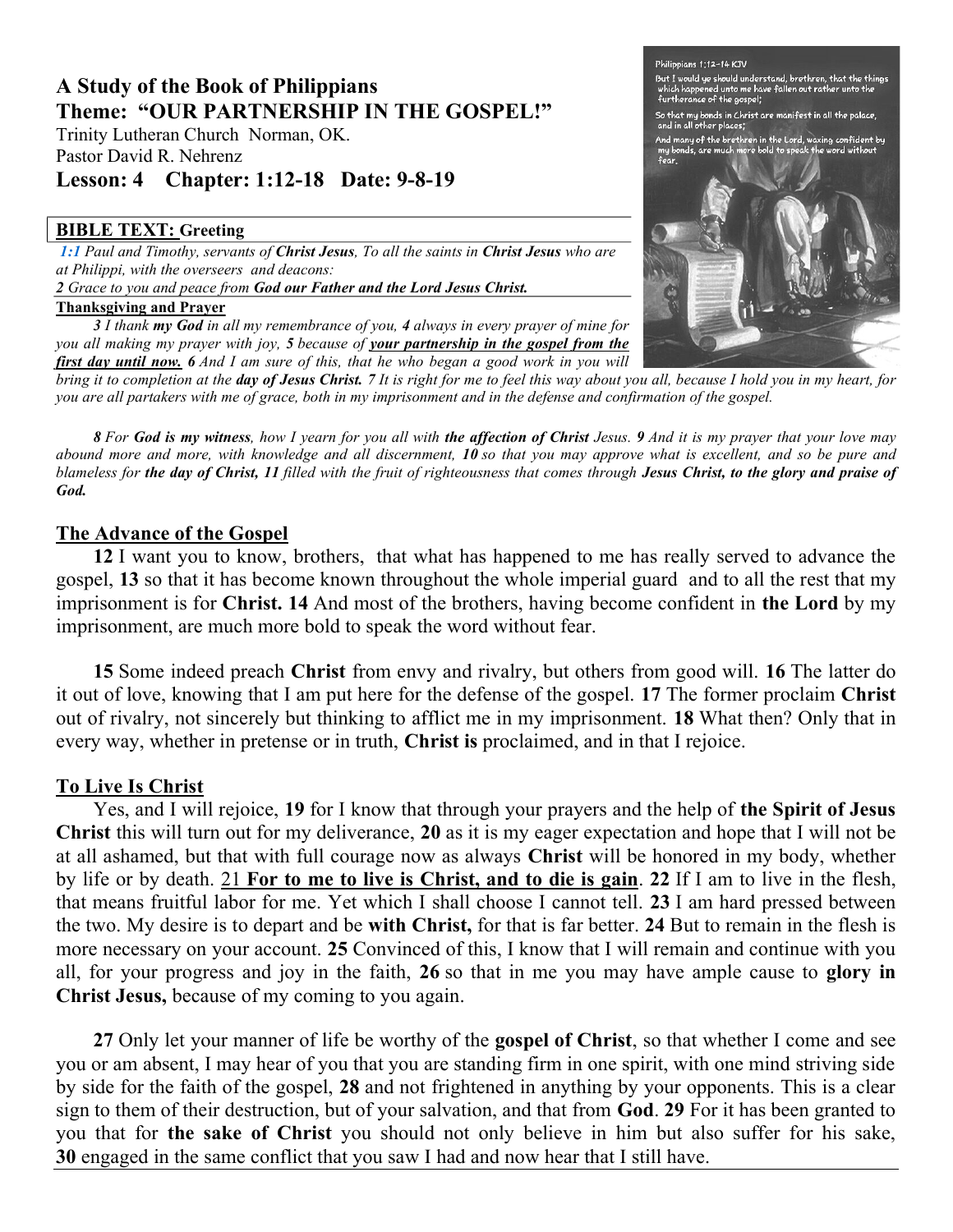# A Study of the Book of Philippians Theme: "OUR PARTNERSHIP IN THE GOSPEL!"

Trinity Lutheran Church Norman, OK. Pastor David R. Nehrenz

## Lesson: 4 Chapter: 1:12-18 Date: 9-8-19

### BIBLE TEXT: Greeting

1:1 Paul and Timothy, servants of Christ Jesus, To all the saints in Christ Jesus who are at Philippi, with the overseers and deacons: 2 Grace to you and peace from God our Father and the Lord Jesus Christ.

#### Thanksgiving and Prayer

 $3$  I thank my God in all my remembrance of you,  $4$  always in every prayer of mine for you all making my prayer with joy, 5 because of your partnership in the gospel from the **first day until now.** 6 And I am sure of this, that he who began a good work in you will

bring it to completion at the day of Jesus Christ. 7 It is right for me to feel this way about you all, because I hold you in my heart, for you are all partakers with me of grace, both in my imprisonment and in the defense and confirmation of the gospel.

8 For God is my witness, how I yearn for you all with the affection of Christ Jesus. 9 And it is my prayer that your love may abound more and more, with knowledge and all discernment, 10 so that you may approve what is excellent, and so be pure and blameless for the day of Christ, 11 filled with the fruit of righteousness that comes through Jesus Christ, to the glory and praise of God.

## The Advance of the Gospel

12 I want you to know, brothers, that what has happened to me has really served to advance the gospel, 13 so that it has become known throughout the whole imperial guard and to all the rest that my imprisonment is for Christ. 14 And most of the brothers, having become confident in the Lord by my imprisonment, are much more bold to speak the word without fear.

15 Some indeed preach Christ from envy and rivalry, but others from good will. 16 The latter do it out of love, knowing that I am put here for the defense of the gospel. 17 The former proclaim Christ out of rivalry, not sincerely but thinking to afflict me in my imprisonment. 18 What then? Only that in every way, whether in pretense or in truth, Christ is proclaimed, and in that I rejoice.

## To Live Is Christ

Yes, and I will rejoice, 19 for I know that through your prayers and the help of the Spirit of Jesus Christ this will turn out for my deliverance, 20 as it is my eager expectation and hope that I will not be at all ashamed, but that with full courage now as always Christ will be honored in my body, whether by life or by death. 21 For to me to live is Christ, and to die is gain. 22 If I am to live in the flesh, that means fruitful labor for me. Yet which I shall choose I cannot tell. 23 I am hard pressed between the two. My desire is to depart and be with Christ, for that is far better. 24 But to remain in the flesh is more necessary on your account. 25 Convinced of this, I know that I will remain and continue with you all, for your progress and joy in the faith, 26 so that in me you may have ample cause to glory in Christ Jesus, because of my coming to you again.

27 Only let your manner of life be worthy of the **gospel of Christ**, so that whether I come and see you or am absent, I may hear of you that you are standing firm in one spirit, with one mind striving side by side for the faith of the gospel, 28 and not frightened in anything by your opponents. This is a clear sign to them of their destruction, but of your salvation, and that from God. 29 For it has been granted to you that for the sake of Christ you should not only believe in him but also suffer for his sake, 30 engaged in the same conflict that you saw I had and now hear that I still have.